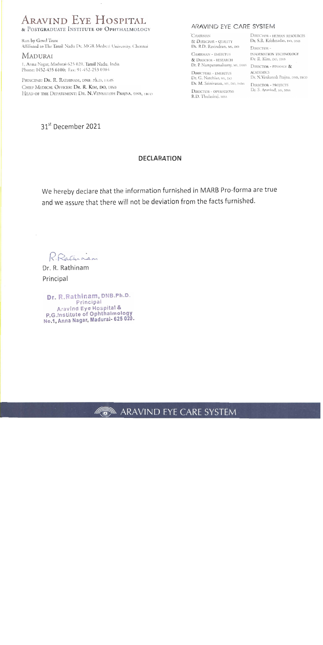# **ARAVIND EYE HOSPITAL**

#### & POSTGRADUATE INSTITUTE OF OPHTHALMOLOGY

Run by Govel Trust Affiliated to The Tamil Nadu Dr. MGR Medical University, Chennai

# **MADURAI**

1, Anna Nagar, Madurai 625 020, Tamil Nadu, India Phone: 0452-435 6100; Fax: 91-452-253 0984

PRINCIPAL: DR. R. RATHINAM, DNB, Ph.D., FAMS CHIEF MEDICAL OFFICER: DR. R. KIM, DO, DNB HEAD OF THE DEPARTMENT: DR. N. VENKATESH PRAJNA, DNB, LRCO

# 31<sup>st</sup> December 2021

### ARAVIND EYE CARE SYSTEM

CHAIRMAN & DIRECTOR - QUALITY Dr. R.D. Ravindran, Ms. DO

CHAIRMAN - EMERITUS & DIRECTOR - RESEARCH Dr. P. Namperumalsamy, MS, FAMS DIRECTOR - FINANCE &

**DIRECTORS - EMERITUS** Dr. G. Natchiar, MS, DO Dr. M. Srinivasan, MS, DO, FAMS DIRECTOR - PROJECTS

DIRECTOR - OPERATIONS R.D. Thulasiraj, MBA

DIRECTOR - HUMAN RESOURCES Dr. S.R. Krishnadas, DO, DNB

DIRECTOR-INFORMATION TECHNOLOGY Dr. R. Kim, DO, DNB

**ACADEMICS** Dr. N. Venkatesh Prajna, DNB, FRCO

Dr. S. Aravind, MS, MBA

# **DECLARATION**

We hereby declare that the information furnished in MARB Pro-forma are true and we assure that there will not be deviation from the facts furnished.

RRathran

Dr. R. Rathinam Principal

Dr. R.Rathinam, DNB.Ph.D. Principal Aravind Eye Hospital & P.G.Institute of Ophthalmology No.1, Anna Nagar, Madurai- 625 020.

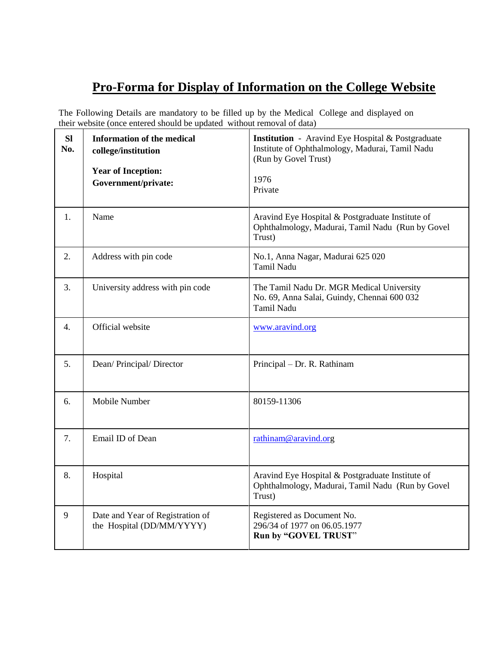# **Pro-Forma for Display of Information on the College Website**

The Following Details are mandatory to be filled up by the Medical College and displayed on their website (once entered should be updated without removal of data)

| SI<br>No.        | <b>Information of the medical</b><br>college/institution<br><b>Year of Inception:</b><br>Government/private: | <b>Institution</b> - Aravind Eye Hospital & Postgraduate<br>Institute of Ophthalmology, Madurai, Tamil Nadu<br>(Run by Govel Trust)<br>1976<br>Private |
|------------------|--------------------------------------------------------------------------------------------------------------|--------------------------------------------------------------------------------------------------------------------------------------------------------|
| 1.               | Name                                                                                                         | Aravind Eye Hospital & Postgraduate Institute of<br>Ophthalmology, Madurai, Tamil Nadu (Run by Govel<br>Trust)                                         |
| 2.               | Address with pin code                                                                                        | No.1, Anna Nagar, Madurai 625 020<br>Tamil Nadu                                                                                                        |
| 3.               | University address with pin code                                                                             | The Tamil Nadu Dr. MGR Medical University<br>No. 69, Anna Salai, Guindy, Chennai 600 032<br>Tamil Nadu                                                 |
| $\overline{4}$ . | Official website                                                                                             | www.aravind.org                                                                                                                                        |
| 5.               | Dean/ Principal/ Director                                                                                    | Principal - Dr. R. Rathinam                                                                                                                            |
| 6.               | Mobile Number                                                                                                | 80159-11306                                                                                                                                            |
| 7.               | Email ID of Dean                                                                                             | rathinam@aravind.org                                                                                                                                   |
| 8.               | Hospital                                                                                                     | Aravind Eye Hospital & Postgraduate Institute of<br>Ophthalmology, Madurai, Tamil Nadu (Run by Govel<br>Trust)                                         |
| 9                | Date and Year of Registration of<br>the Hospital (DD/MM/YYYY)                                                | Registered as Document No.<br>296/34 of 1977 on 06.05.1977<br>Run by "GOVEL TRUST"                                                                     |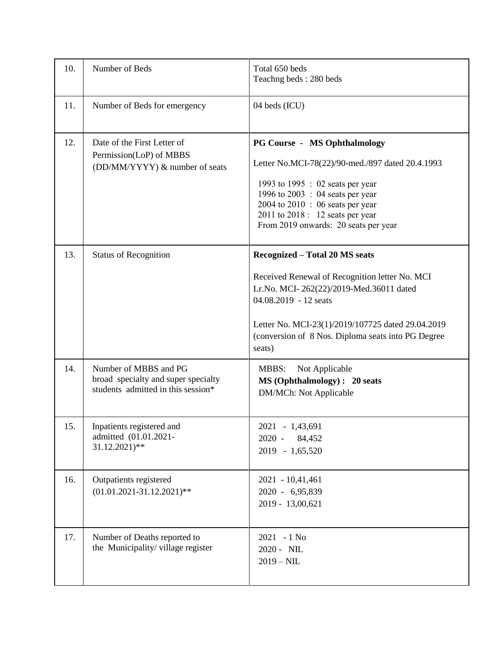| 10. | Number of Beds                                                                                     | Total 650 beds<br>Teachng beds: 280 beds                                                                                                                                                                                                                                            |
|-----|----------------------------------------------------------------------------------------------------|-------------------------------------------------------------------------------------------------------------------------------------------------------------------------------------------------------------------------------------------------------------------------------------|
| 11. | Number of Beds for emergency                                                                       | 04 beds (ICU)                                                                                                                                                                                                                                                                       |
| 12. | Date of the First Letter of<br>Permission(LoP) of MBBS<br>(DD/MM/YYYY) & number of seats           | <b>PG Course - MS Ophthalmology</b><br>Letter No.MCI-78(22)/90-med./897 dated 20.4.1993<br>1993 to 1995 : 02 seats per year<br>1996 to 2003 : 04 seats per year<br>$2004$ to $2010$ : 06 seats per year<br>2011 to 2018 : 12 seats per year<br>From 2019 onwards: 20 seats per year |
| 13. | <b>Status of Recognition</b>                                                                       | <b>Recognized – Total 20 MS seats</b><br>Received Renewal of Recognition letter No. MCI<br>Lr.No. MCI-262(22)/2019-Med.36011 dated<br>04.08.2019 - 12 seats<br>Letter No. MCI-23(1)/2019/107725 dated 29.04.2019<br>(conversion of 8 Nos. Diploma seats into PG Degree<br>seats)    |
| 14. | Number of MBBS and PG<br>broad specialty and super specialty<br>students admitted in this session* | Not Applicable<br>MBBS:<br>MS (Ophthalmology): 20 seats<br>DM/MCh: Not Applicable                                                                                                                                                                                                   |
| 15. | Inpatients registered and<br>admitted (01.01.2021-<br>$31.12.2021$ <sup>**</sup>                   | 2021 - 1,43,691<br>2020 - 84,452<br>2019 - 1,65,520                                                                                                                                                                                                                                 |
| 16. | Outpatients registered<br>$(01.01.2021 - 31.12.2021)$ **                                           | 2021 - 10,41,461<br>2020 - 6,95,839<br>2019 - 13,00,621                                                                                                                                                                                                                             |
| 17. | Number of Deaths reported to<br>the Municipality/village register                                  | 2021 - 1 No<br>2020 - NIL<br>$2019 - \text{NIL}$                                                                                                                                                                                                                                    |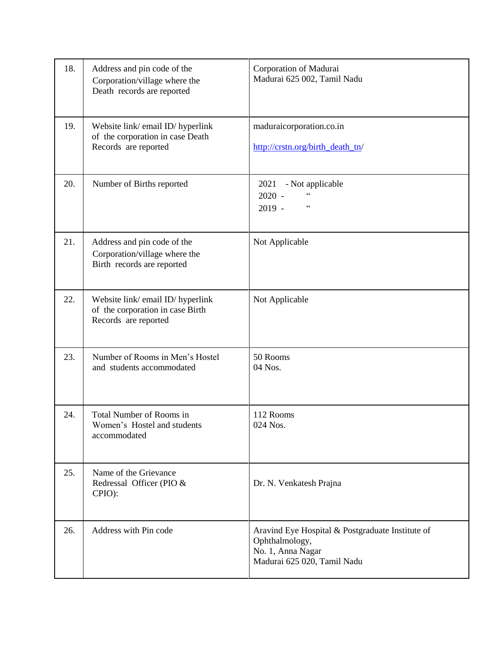| 18. | Address and pin code of the<br>Corporation/village where the<br>Death records are reported  | Corporation of Madurai<br>Madurai 625 002, Tamil Nadu                                                                  |
|-----|---------------------------------------------------------------------------------------------|------------------------------------------------------------------------------------------------------------------------|
| 19. | Website link/email ID/hyperlink<br>of the corporation in case Death<br>Records are reported | maduraicorporation.co.in<br>http://crstn.org/birth_death_tn/                                                           |
| 20. | Number of Births reported                                                                   | 2021<br>- Not applicable<br>$\zeta\,\zeta$<br>$2020 -$<br>$\zeta$ $\zeta$<br>$2019 -$                                  |
| 21. | Address and pin code of the<br>Corporation/village where the<br>Birth records are reported  | Not Applicable                                                                                                         |
| 22. | Website link/email ID/hyperlink<br>of the corporation in case Birth<br>Records are reported | Not Applicable                                                                                                         |
| 23. | Number of Rooms in Men's Hostel<br>and students accommodated                                | 50 Rooms<br>04 Nos.                                                                                                    |
| 24. | Total Number of Rooms in<br>Women's Hostel and students<br>accommodated                     | 112 Rooms<br>024 Nos.                                                                                                  |
| 25. | Name of the Grievance<br>Redressal Officer (PIO &<br>CPIO):                                 | Dr. N. Venkatesh Prajna                                                                                                |
| 26. | Address with Pin code                                                                       | Aravind Eye Hospital & Postgraduate Institute of<br>Ophthalmology,<br>No. 1, Anna Nagar<br>Madurai 625 020, Tamil Nadu |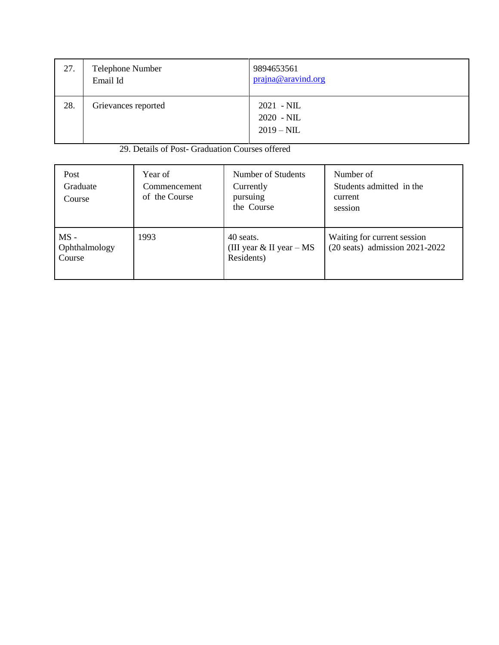| 27. | Telephone Number<br>Email Id | 9894653561<br>prajna@aravind.org                                  |
|-----|------------------------------|-------------------------------------------------------------------|
| 28. | Grievances reported          | $2021 - \text{NIL}$<br>$2020 - \text{NIL}$<br>$2019 - \text{NIL}$ |

29. Details of Post- Graduation Courses offered

| Post<br>Graduate<br>Course        | Year of<br>Commencement<br>of the Course | Number of Students<br>Currently<br>pursuing<br>the Course | Number of<br>Students admitted in the<br>current<br>session                 |
|-----------------------------------|------------------------------------------|-----------------------------------------------------------|-----------------------------------------------------------------------------|
| $MS -$<br>Ophthalmology<br>Course | 1993                                     | 40 seats.<br>(III year $&$ II year $-MS$<br>Residents)    | Waiting for current session<br>$(20 \text{ seats})$ admission $2021 - 2022$ |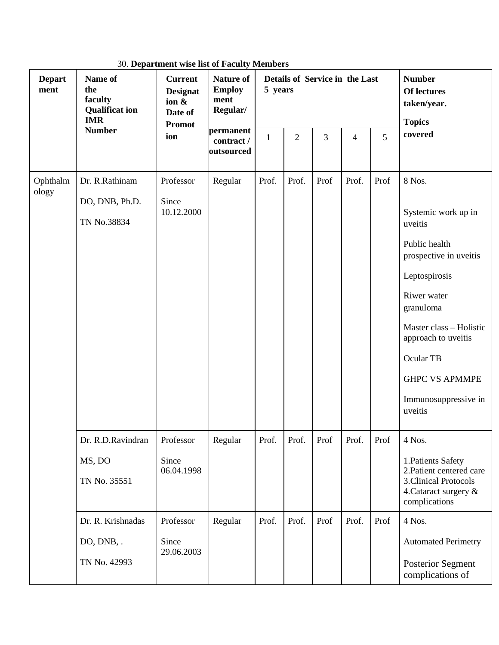| <b>Depart</b><br>ment | Name of<br>the<br>faculty<br><b>Qualificat ion</b><br><b>IMR</b> | <b>Current</b><br><b>Designat</b><br>ion &<br>Date of<br><b>Promot</b> | <b>Nature of</b><br><b>Employ</b><br>ment<br>Regular/ | 5 years      | Details of Service in the Last |      | <b>Number</b><br><b>Of lectures</b><br>taken/year.<br><b>Topics</b> |      |                                                                                                                                                                                                                                                             |
|-----------------------|------------------------------------------------------------------|------------------------------------------------------------------------|-------------------------------------------------------|--------------|--------------------------------|------|---------------------------------------------------------------------|------|-------------------------------------------------------------------------------------------------------------------------------------------------------------------------------------------------------------------------------------------------------------|
|                       | <b>Number</b>                                                    | ion                                                                    | permanent<br>contract/<br>outsourced                  | $\mathbf{1}$ | $\overline{2}$                 | 3    | 4                                                                   | 5    | covered                                                                                                                                                                                                                                                     |
| Ophthalm<br>ology     | Dr. R.Rathinam<br>DO, DNB, Ph.D.<br>TN No.38834                  | Professor<br>Since<br>10.12.2000                                       | Regular                                               | Prof.        | Prof.                          | Prof | Prof.                                                               | Prof | 8 Nos.<br>Systemic work up in<br>uveitis<br>Public health<br>prospective in uveitis<br>Leptospirosis<br>Riwer water<br>granuloma<br>Master class - Holistic<br>approach to uveitis<br>Ocular TB<br><b>GHPC VS APMMPE</b><br>Immunosuppressive in<br>uveitis |
|                       | Dr. R.D.Ravindran<br>MS, DO<br>TN No. 35551                      | Professor<br>Since<br>06.04.1998                                       | Regular                                               | Prof.        | Prof.                          | Prof | Prof.                                                               | Prof | 4 Nos.<br>1. Patients Safety<br>2. Patient centered care<br>3. Clinical Protocols<br>4. Cataract surgery &<br>complications                                                                                                                                 |
|                       | Dr. R. Krishnadas<br>DO, DNB, .<br>TN No. 42993                  | Professor<br>Since<br>29.06.2003                                       | Regular                                               | Prof.        | Prof.                          | Prof | Prof.                                                               | Prof | 4 Nos.<br><b>Automated Perimetry</b><br>Posterior Segment<br>complications of                                                                                                                                                                               |

30. **Department wise list of Faculty Members**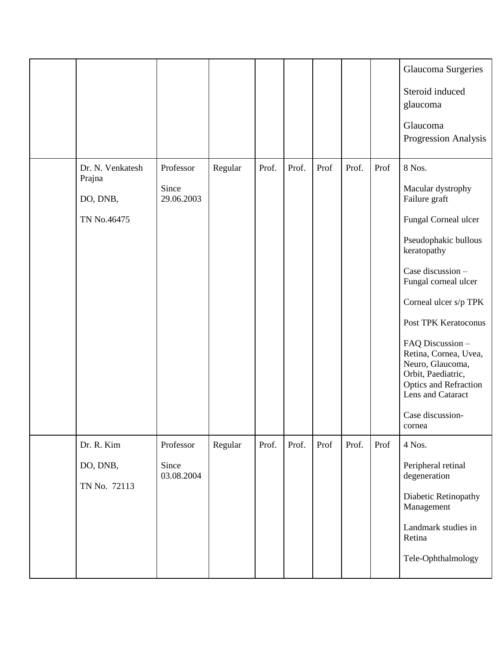|                                                       |                                  |         |       |       |      |       |      | <b>Glaucoma Surgeries</b><br>Steroid induced<br>glaucoma<br>Glaucoma<br>Progression Analysis                                                                                                                                                                                                                                                                                |
|-------------------------------------------------------|----------------------------------|---------|-------|-------|------|-------|------|-----------------------------------------------------------------------------------------------------------------------------------------------------------------------------------------------------------------------------------------------------------------------------------------------------------------------------------------------------------------------------|
| Dr. N. Venkatesh<br>Prajna<br>DO, DNB,<br>TN No.46475 | Professor<br>Since<br>29.06.2003 | Regular | Prof. | Prof. | Prof | Prof. | Prof | 8 Nos.<br>Macular dystrophy<br>Failure graft<br>Fungal Corneal ulcer<br>Pseudophakic bullous<br>keratopathy<br>Case discussion -<br>Fungal corneal ulcer<br>Corneal ulcer s/p TPK<br>Post TPK Keratoconus<br>FAQ Discussion-<br>Retina, Cornea, Uvea,<br>Neuro, Glaucoma,<br>Orbit, Paediatric,<br>Optics and Refraction<br>Lens and Cataract<br>Case discussion-<br>cornea |
| Dr. R. Kim<br>DO, DNB,<br>TN No. 72113                | Professor<br>Since<br>03.08.2004 | Regular | Prof. | Prof. | Prof | Prof. | Prof | 4 Nos.<br>Peripheral retinal<br>degeneration<br>Diabetic Retinopathy<br>Management<br>Landmark studies in<br>Retina<br>Tele-Ophthalmology                                                                                                                                                                                                                                   |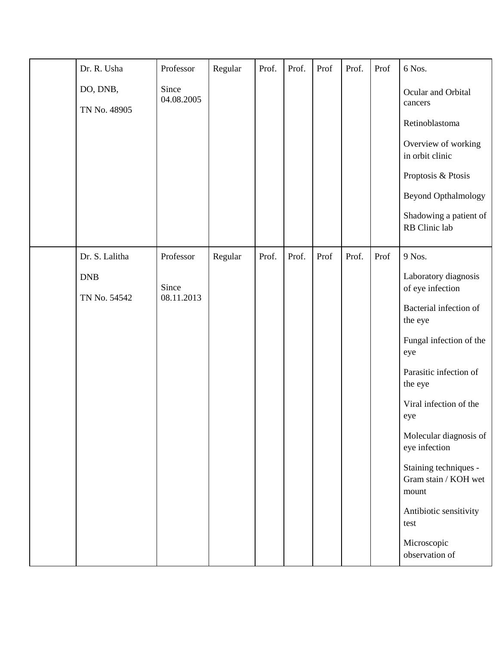| Dr. R. Usha                | Professor           | Regular | Prof. | Prof. | Prof | Prof. | Prof | 6 Nos.                                                 |
|----------------------------|---------------------|---------|-------|-------|------|-------|------|--------------------------------------------------------|
| DO, DNB,                   | Since<br>04.08.2005 |         |       |       |      |       |      | Ocular and Orbital<br>cancers                          |
| TN No. 48905               |                     |         |       |       |      |       |      | Retinoblastoma                                         |
|                            |                     |         |       |       |      |       |      | Overview of working<br>in orbit clinic                 |
|                            |                     |         |       |       |      |       |      | Proptosis & Ptosis                                     |
|                            |                     |         |       |       |      |       |      | <b>Beyond Opthalmology</b>                             |
|                            |                     |         |       |       |      |       |      | Shadowing a patient of<br>RB Clinic lab                |
| Dr. S. Lalitha             | Professor           | Regular | Prof. | Prof. | Prof | Prof. | Prof | 9 Nos.                                                 |
| <b>DNB</b><br>TN No. 54542 | Since<br>08.11.2013 |         |       |       |      |       |      | Laboratory diagnosis<br>of eye infection               |
|                            |                     |         |       |       |      |       |      | Bacterial infection of<br>the eye                      |
|                            |                     |         |       |       |      |       |      | Fungal infection of the<br>eye                         |
|                            |                     |         |       |       |      |       |      | Parasitic infection of<br>the eye                      |
|                            |                     |         |       |       |      |       |      | Viral infection of the<br>eye                          |
|                            |                     |         |       |       |      |       |      | Molecular diagnosis of<br>eye infection                |
|                            |                     |         |       |       |      |       |      | Staining techniques -<br>Gram stain / KOH wet<br>mount |
|                            |                     |         |       |       |      |       |      | Antibiotic sensitivity<br>test                         |
|                            |                     |         |       |       |      |       |      | Microscopic<br>observation of                          |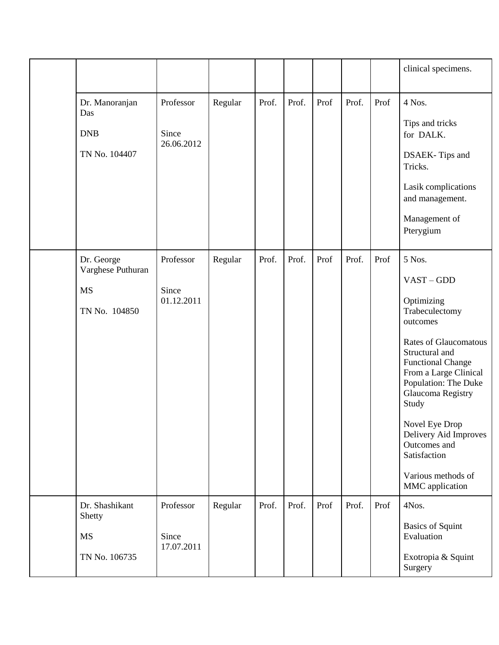|  |                                                               |                                  |         |       |       |      |       |      | clinical specimens.                                                                                                                                                                                                                                                                                                                               |
|--|---------------------------------------------------------------|----------------------------------|---------|-------|-------|------|-------|------|---------------------------------------------------------------------------------------------------------------------------------------------------------------------------------------------------------------------------------------------------------------------------------------------------------------------------------------------------|
|  | Dr. Manoranjan<br>Das<br><b>DNB</b><br>TN No. 104407          | Professor<br>Since<br>26.06.2012 | Regular | Prof. | Prof. | Prof | Prof. | Prof | 4 Nos.<br>Tips and tricks<br>for DALK.<br>DSAEK-Tips and<br>Tricks.<br>Lasik complications<br>and management.<br>Management of<br>Pterygium                                                                                                                                                                                                       |
|  | Dr. George<br>Varghese Puthuran<br><b>MS</b><br>TN No. 104850 | Professor<br>Since<br>01.12.2011 | Regular | Prof. | Prof. | Prof | Prof. | Prof | 5 Nos.<br>$VAST-GDD$<br>Optimizing<br>Trabeculectomy<br>outcomes<br><b>Rates of Glaucomatous</b><br>Structural and<br><b>Functional Change</b><br>From a Large Clinical<br>Population: The Duke<br>Glaucoma Registry<br>Study<br>Novel Eye Drop<br>Delivery Aid Improves<br>Outcomes and<br>Satisfaction<br>Various methods of<br>MMC application |
|  | Dr. Shashikant<br>Shetty<br><b>MS</b><br>TN No. 106735        | Professor<br>Since<br>17.07.2011 | Regular | Prof. | Prof. | Prof | Prof. | Prof | 4Nos.<br><b>Basics of Squint</b><br>Evaluation<br>Exotropia & Squint<br>Surgery                                                                                                                                                                                                                                                                   |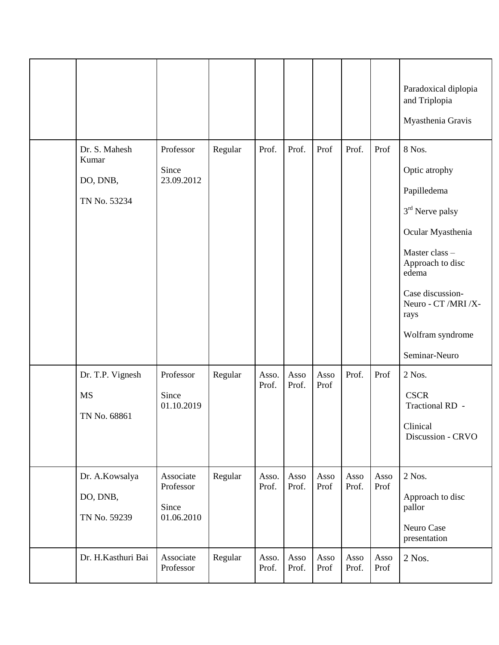|                                                                                                     |                                                                      |                    |                         |                        |                      |                |              | Paradoxical diplopia<br>and Triplopia<br>Myasthenia Gravis                                                                                                                                                                                                                               |
|-----------------------------------------------------------------------------------------------------|----------------------------------------------------------------------|--------------------|-------------------------|------------------------|----------------------|----------------|--------------|------------------------------------------------------------------------------------------------------------------------------------------------------------------------------------------------------------------------------------------------------------------------------------------|
| Dr. S. Mahesh<br>Kumar<br>DO, DNB,<br>TN No. 53234<br>Dr. T.P. Vignesh<br><b>MS</b><br>TN No. 68861 | Professor<br>Since<br>23.09.2012<br>Professor<br>Since<br>01.10.2019 | Regular<br>Regular | Prof.<br>Asso.<br>Prof. | Prof.<br>Asso<br>Prof. | Prof<br>Asso<br>Prof | Prof.<br>Prof. | Prof<br>Prof | 8 Nos.<br>Optic atrophy<br>Papilledema<br>3 <sup>rd</sup> Nerve palsy<br>Ocular Myasthenia<br>Master class-<br>Approach to disc<br>edema<br>Case discussion-<br>Neuro - CT /MRI /X-<br>rays<br>Wolfram syndrome<br>Seminar-Neuro<br>2 Nos.<br><b>CSCR</b><br>Tractional RD -<br>Clinical |
| Dr. A.Kowsalya<br>DO, DNB,<br>TN No. 59239                                                          | Associate<br>Professor<br>Since<br>01.06.2010                        | Regular            | Asso.<br>Prof.          | Asso<br>Prof.          | Asso<br>Prof         | Asso<br>Prof.  | Asso<br>Prof | Discussion - CRVO<br>2 Nos.<br>Approach to disc<br>pallor<br>Neuro Case<br>presentation                                                                                                                                                                                                  |
| Dr. H.Kasthuri Bai                                                                                  | Associate<br>Professor                                               | Regular            | Asso.<br>Prof.          | Asso<br>Prof.          | Asso<br>Prof         | Asso<br>Prof.  | Asso<br>Prof | 2 Nos.                                                                                                                                                                                                                                                                                   |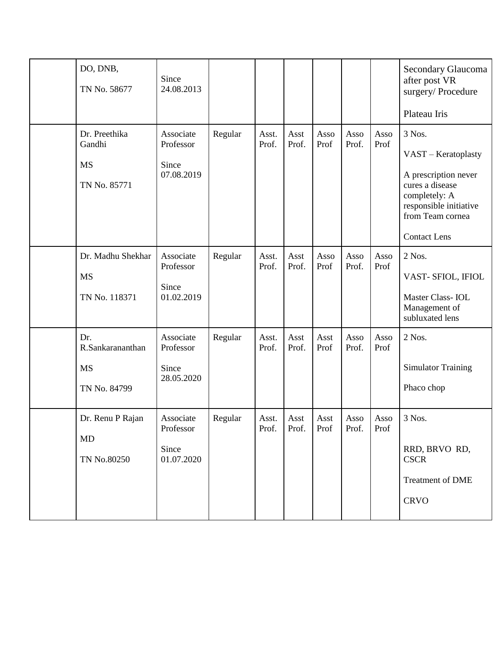| DO, DNB,<br>TN No. 58677                             | Since<br>24.08.2013                           |         |                |               |              |               |              | Secondary Glaucoma<br>after post VR<br>surgery/Procedure<br>Plateau Iris                                                                                       |
|------------------------------------------------------|-----------------------------------------------|---------|----------------|---------------|--------------|---------------|--------------|----------------------------------------------------------------------------------------------------------------------------------------------------------------|
| Dr. Preethika<br>Gandhi<br><b>MS</b><br>TN No. 85771 | Associate<br>Professor<br>Since<br>07.08.2019 | Regular | Asst.<br>Prof. | Asst<br>Prof. | Asso<br>Prof | Asso<br>Prof. | Asso<br>Prof | 3 Nos.<br>VAST - Keratoplasty<br>A prescription never<br>cures a disease<br>completely: A<br>responsible initiative<br>from Team cornea<br><b>Contact Lens</b> |
| Dr. Madhu Shekhar<br><b>MS</b><br>TN No. 118371      | Associate<br>Professor<br>Since<br>01.02.2019 | Regular | Asst.<br>Prof. | Asst<br>Prof. | Asso<br>Prof | Asso<br>Prof. | Asso<br>Prof | $2$ Nos.<br>VAST-SFIOL, IFIOL<br>Master Class- IOL<br>Management of<br>subluxated lens                                                                         |
| Dr.<br>R.Sankarananthan<br><b>MS</b><br>TN No. 84799 | Associate<br>Professor<br>Since<br>28.05.2020 | Regular | Asst.<br>Prof. | Asst<br>Prof. | Asst<br>Prof | Asso<br>Prof. | Asso<br>Prof | 2 Nos.<br><b>Simulator Training</b><br>Phaco chop                                                                                                              |
| Dr. Renu P Rajan<br><b>MD</b><br>TN No.80250         | Associate<br>Professor<br>Since<br>01.07.2020 | Regular | Asst.<br>Prof. | Asst<br>Prof. | Asst<br>Prof | Asso<br>Prof. | Asso<br>Prof | 3 Nos.<br>RRD, BRVO RD,<br><b>CSCR</b><br>Treatment of DME<br><b>CRVO</b>                                                                                      |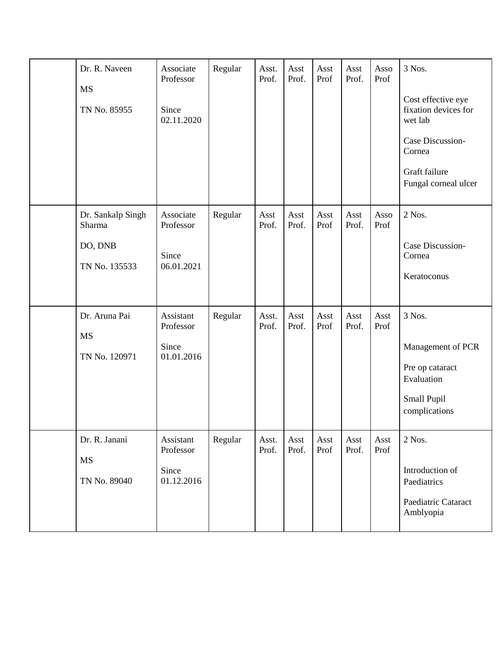| Dr. R. Naveen<br><b>MS</b><br>TN No. 85955              | Associate<br>Professor<br>Since<br>02.11.2020 | Regular | Asst.<br>Prof. | Asst<br>Prof. | Asst<br>Prof | Asst<br>Prof. | Asso<br>Prof | 3 Nos.<br>Cost effective eye<br>fixation devices for<br>wet lab<br>Case Discussion-<br>Cornea<br>Graft failure<br>Fungal corneal ulcer |
|---------------------------------------------------------|-----------------------------------------------|---------|----------------|---------------|--------------|---------------|--------------|----------------------------------------------------------------------------------------------------------------------------------------|
| Dr. Sankalp Singh<br>Sharma<br>DO, DNB<br>TN No. 135533 | Associate<br>Professor<br>Since<br>06.01.2021 | Regular | Asst<br>Prof.  | Asst<br>Prof. | Asst<br>Prof | Asst<br>Prof. | Asso<br>Prof | 2 Nos.<br>Case Discussion-<br>Cornea<br>Keratoconus                                                                                    |
| Dr. Aruna Pai<br><b>MS</b><br>TN No. 120971             | Assistant<br>Professor<br>Since<br>01.01.2016 | Regular | Asst.<br>Prof. | Asst<br>Prof. | Asst<br>Prof | Asst<br>Prof. | Asst<br>Prof | 3 Nos.<br>Management of PCR<br>Pre op cataract<br>Evaluation<br>Small Pupil<br>complications                                           |
| Dr. R. Janani<br><b>MS</b><br>TN No. 89040              | Assistant<br>Professor<br>Since<br>01.12.2016 | Regular | Asst.<br>Prof. | Asst<br>Prof. | Asst<br>Prof | Asst<br>Prof. | Asst<br>Prof | 2 Nos.<br>Introduction of<br>Paediatrics<br>Paediatric Cataract<br>Amblyopia                                                           |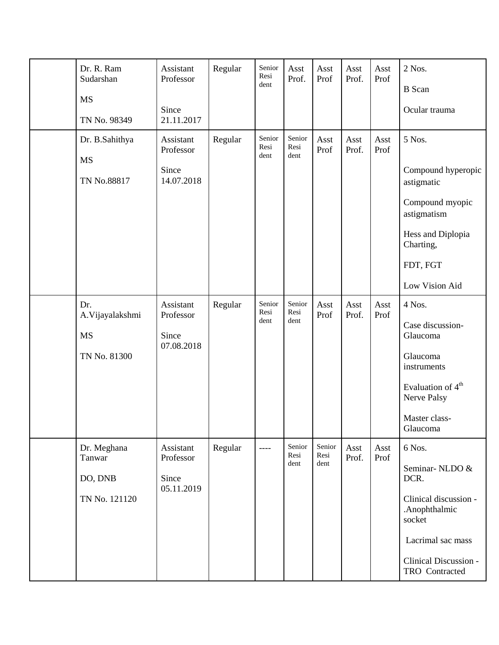| Dr. R. Ram<br>Sudarshan     | Assistant<br>Professor | Regular | Senior<br>Resi<br>dent | Asst<br>Prof.          | Asst<br>Prof   | Asst<br>Prof. | Asst<br>Prof | 2 Nos.<br><b>B</b> Scan                          |
|-----------------------------|------------------------|---------|------------------------|------------------------|----------------|---------------|--------------|--------------------------------------------------|
| <b>MS</b><br>TN No. 98349   | Since<br>21.11.2017    |         |                        |                        |                |               |              | Ocular trauma                                    |
| Dr. B.Sahithya<br><b>MS</b> | Assistant<br>Professor | Regular | Senior<br>Resi<br>dent | Senior<br>Resi<br>dent | Asst<br>Prof   | Asst<br>Prof. | Asst<br>Prof | 5 Nos.                                           |
| TN No.88817                 | Since<br>14.07.2018    |         |                        |                        |                |               |              | Compound hyperopic<br>astigmatic                 |
|                             |                        |         |                        |                        |                |               |              | Compound myopic<br>astigmatism                   |
|                             |                        |         |                        |                        |                |               |              | Hess and Diplopia<br>Charting,                   |
|                             |                        |         |                        |                        |                |               |              | FDT, FGT                                         |
|                             |                        |         |                        |                        |                |               |              | Low Vision Aid                                   |
| Dr.<br>A.Vijayalakshmi      | Assistant<br>Professor | Regular | Senior<br>Resi         | Senior<br>Resi         | Asst<br>Prof   | Asst<br>Prof. | Asst<br>Prof | 4 Nos.                                           |
| <b>MS</b>                   | Since<br>07.08.2018    |         | dent                   | dent                   |                |               |              | Case discussion-<br>Glaucoma                     |
| TN No. 81300                |                        |         |                        |                        |                |               |              | Glaucoma<br>instruments                          |
|                             |                        |         |                        |                        |                |               |              | Evaluation of $4th$<br>Nerve Palsy               |
|                             |                        |         |                        |                        |                |               |              | Master class-<br>Glaucoma                        |
| Dr. Meghana<br>Tanwar       | Assistant<br>Professor | Regular | ----                   | Senior<br>Resi         | Senior<br>Resi | Asst<br>Prof. | Asst<br>Prof | 6 Nos.                                           |
| DO, DNB                     | Since                  |         |                        | dent                   | dent           |               |              | Seminar-NLDO &<br>DCR.                           |
| TN No. 121120               | 05.11.2019             |         |                        |                        |                |               |              | Clinical discussion -<br>.Anophthalmic<br>socket |
|                             |                        |         |                        |                        |                |               |              | Lacrimal sac mass                                |
|                             |                        |         |                        |                        |                |               |              | Clinical Discussion -<br>TRO Contracted          |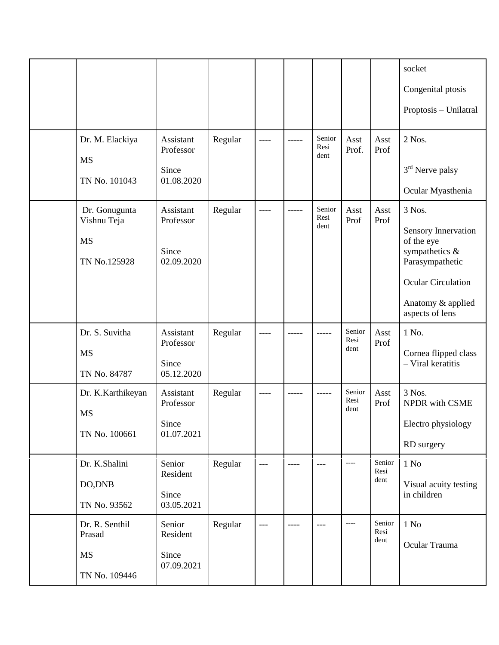|                                                           |                                               |         |      |         |                        |                        |                        | socket<br>Congenital ptosis<br>Proptosis - Unilatral                                                                                                         |
|-----------------------------------------------------------|-----------------------------------------------|---------|------|---------|------------------------|------------------------|------------------------|--------------------------------------------------------------------------------------------------------------------------------------------------------------|
| Dr. M. Elackiya<br><b>MS</b><br>TN No. 101043             | Assistant<br>Professor<br>Since<br>01.08.2020 | Regular | ---- | -----   | Senior<br>Resi<br>dent | Asst<br>Prof.          | Asst<br>Prof           | 2 Nos.<br>3 <sup>rd</sup> Nerve palsy<br>Ocular Myasthenia                                                                                                   |
| Dr. Gonugunta<br>Vishnu Teja<br><b>MS</b><br>TN No.125928 | Assistant<br>Professor<br>Since<br>02.09.2020 | Regular | ---- | -----   | Senior<br>Resi<br>dent | Asst<br>Prof           | Asst<br>Prof           | 3 Nos.<br><b>Sensory Innervation</b><br>of the eye<br>sympathetics &<br>Parasympathetic<br><b>Ocular Circulation</b><br>Anatomy & applied<br>aspects of lens |
| Dr. S. Suvitha<br><b>MS</b><br>TN No. 84787               | Assistant<br>Professor<br>Since<br>05.12.2020 | Regular | ---- |         |                        | Senior<br>Resi<br>dent | Asst<br>Prof           | 1 No.<br>Cornea flipped class<br>- Viral keratitis                                                                                                           |
| Dr. K.Karthikeyan<br><b>MS</b><br>TN No. 100661           | Assistant<br>Professor<br>Since<br>01.07.2021 | Regular | ---- | -----   |                        | Senior<br>Resi<br>dent | Asst<br>Prof           | 3 Nos.<br>NPDR with CSME<br>Electro physiology<br>RD surgery                                                                                                 |
| Dr. K.Shalini<br>DO, DNB<br>TN No. 93562                  | Senior<br>Resident<br>Since<br>03.05.2021     | Regular | ---  | $--- -$ | $---$                  | $--- -$                | Senior<br>Resi<br>dent | 1 N <sub>0</sub><br>Visual acuity testing<br>in children                                                                                                     |
| Dr. R. Senthil<br>Prasad<br>MS<br>TN No. 109446           | Senior<br>Resident<br>Since<br>07.09.2021     | Regular | ---  | ----    | $---$                  | $---$                  | Senior<br>Resi<br>dent | 1 N <sub>0</sub><br>Ocular Trauma                                                                                                                            |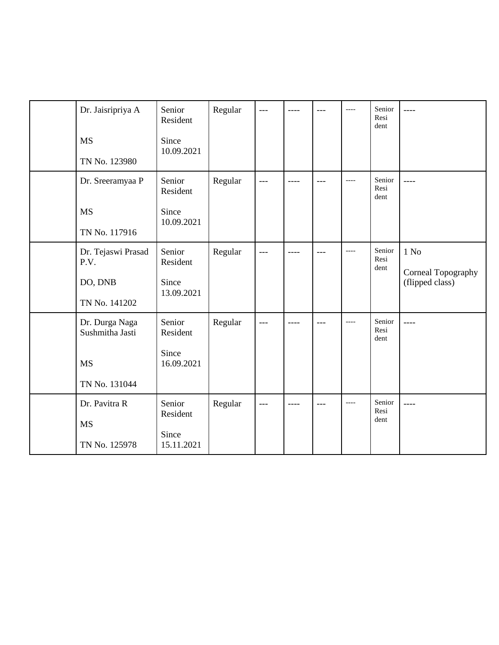| Dr. Jaisripriya A<br><b>MS</b><br>TN No. 123980                 | Senior<br>Resident<br>Since<br>10.09.2021 | Regular | $---$ |           |       | ---- | Senior<br>Resi<br>dent | ----                                                      |
|-----------------------------------------------------------------|-------------------------------------------|---------|-------|-----------|-------|------|------------------------|-----------------------------------------------------------|
| Dr. Sreeramyaa P<br><b>MS</b><br>TN No. 117916                  | Senior<br>Resident<br>Since<br>10.09.2021 | Regular | ---   | ----      |       |      | Senior<br>Resi<br>dent | ----                                                      |
| Dr. Tejaswi Prasad<br>P.V.<br>DO, DNB<br>TN No. 141202          | Senior<br>Resident<br>Since<br>13.09.2021 | Regular | ---   | ----      | $---$ | ---- | Senior<br>Resi<br>dent | 1 N <sub>0</sub><br>Corneal Topography<br>(flipped class) |
| Dr. Durga Naga<br>Sushmitha Jasti<br><b>MS</b><br>TN No. 131044 | Senior<br>Resident<br>Since<br>16.09.2021 | Regular | $---$ | $- - - -$ | ---   | ---- | Senior<br>Resi<br>dent | ----                                                      |
| Dr. Pavitra R<br><b>MS</b><br>TN No. 125978                     | Senior<br>Resident<br>Since<br>15.11.2021 | Regular | ---   |           |       |      | Senior<br>Resi<br>dent | ----                                                      |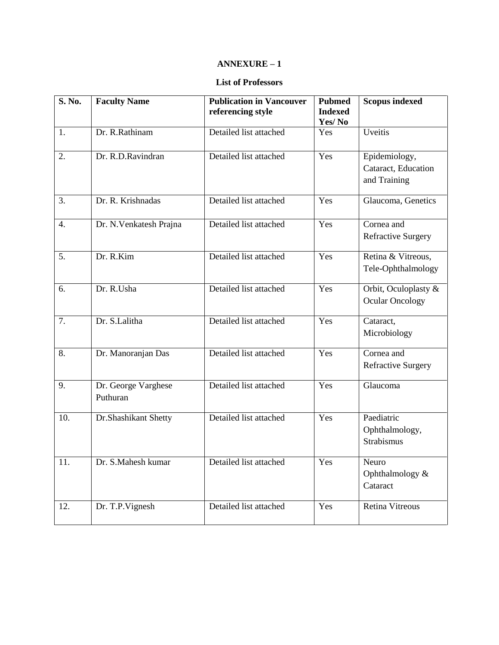#### **List of Professors**

| S. No. | <b>Faculty Name</b>             | <b>Publication in Vancouver</b><br>referencing style | <b>Pubmed</b><br><b>Indexed</b><br>Yes/No | <b>Scopus indexed</b>                                |
|--------|---------------------------------|------------------------------------------------------|-------------------------------------------|------------------------------------------------------|
| 1.     | Dr. R.Rathinam                  | Detailed list attached                               | Yes                                       | Uveitis                                              |
| 2.     | Dr. R.D.Ravindran               | Detailed list attached                               | Yes                                       | Epidemiology,<br>Cataract, Education<br>and Training |
| 3.     | Dr. R. Krishnadas               | Detailed list attached                               | Yes                                       | Glaucoma, Genetics                                   |
| 4.     | Dr. N. Venkatesh Prajna         | Detailed list attached                               | Yes                                       | Cornea and<br><b>Refractive Surgery</b>              |
| 5.     | Dr. R.Kim                       | Detailed list attached                               | Yes                                       | Retina & Vitreous,<br>Tele-Ophthalmology             |
| 6.     | Dr. R.Usha                      | Detailed list attached                               | Yes                                       | Orbit, Oculoplasty &<br><b>Ocular Oncology</b>       |
| 7.     | Dr. S.Lalitha                   | Detailed list attached                               | Yes                                       | Cataract,<br>Microbiology                            |
| 8.     | Dr. Manoranjan Das              | Detailed list attached                               | Yes                                       | Cornea and<br><b>Refractive Surgery</b>              |
| 9.     | Dr. George Varghese<br>Puthuran | Detailed list attached                               | Yes                                       | Glaucoma                                             |
| 10.    | Dr.Shashikant Shetty            | Detailed list attached                               | Yes                                       | Paediatric<br>Ophthalmology,<br><b>Strabismus</b>    |
| 11.    | Dr. S.Mahesh kumar              | Detailed list attached                               | Yes                                       | Neuro<br>Ophthalmology &<br>Cataract                 |
| 12.    | Dr. T.P. Vignesh                | Detailed list attached                               | Yes                                       | Retina Vitreous                                      |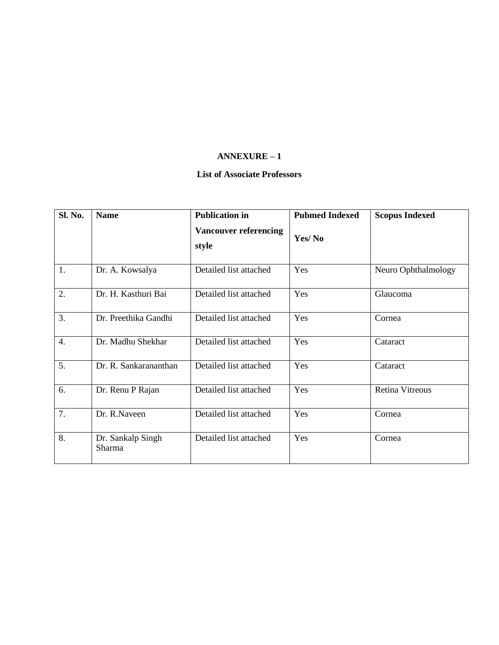#### **List of Associate Professors**

| Sl. No.          | <b>Name</b>                 | <b>Publication in</b>                 | <b>Pubmed Indexed</b> | <b>Scopus Indexed</b>  |
|------------------|-----------------------------|---------------------------------------|-----------------------|------------------------|
|                  |                             | <b>Vancouver referencing</b><br>style | Yes/No                |                        |
| 1.               | Dr. A. Kowsalya             | Detailed list attached                | Yes                   | Neuro Ophthalmology    |
| 2.               | Dr. H. Kasthuri Bai         | Detailed list attached                | Yes                   | Glaucoma               |
| 3.               | Dr. Preethika Gandhi        | Detailed list attached                | Yes                   | Cornea                 |
| $\overline{4}$ . | Dr. Madhu Shekhar           | Detailed list attached                | Yes                   | Cataract               |
| 5.               | Dr. R. Sankarananthan       | Detailed list attached                | Yes                   | Cataract               |
| 6.               | Dr. Renu P Rajan            | Detailed list attached                | Yes                   | <b>Retina Vitreous</b> |
| 7.               | Dr. R.Naveen                | Detailed list attached                | Yes                   | Cornea                 |
| 8.               | Dr. Sankalp Singh<br>Sharma | Detailed list attached                | Yes                   | Cornea                 |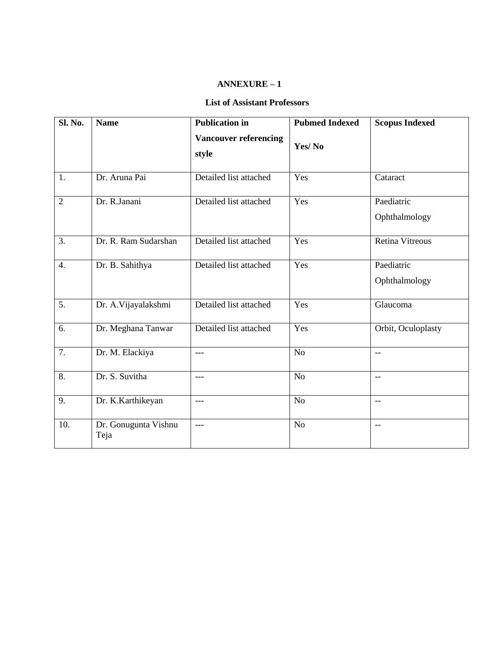#### **List of Assistant Professors**

| Sl. No.          | <b>Name</b>                  | <b>Publication in</b>                 | <b>Pubmed Indexed</b> | <b>Scopus Indexed</b>       |
|------------------|------------------------------|---------------------------------------|-----------------------|-----------------------------|
|                  |                              | <b>Vancouver referencing</b><br>style | Yes/No                |                             |
| 1.               | Dr. Aruna Pai                | Detailed list attached                | Yes                   | Cataract                    |
| $\overline{2}$   | Dr. R.Janani                 | Detailed list attached                | Yes                   | Paediatric<br>Ophthalmology |
| 3.               | Dr. R. Ram Sudarshan         | Detailed list attached                | Yes                   | <b>Retina Vitreous</b>      |
| $\overline{4}$ . | Dr. B. Sahithya              | Detailed list attached                | Yes                   | Paediatric<br>Ophthalmology |
| 5.               | Dr. A.Vijayalakshmi          | Detailed list attached                | Yes                   | Glaucoma                    |
| 6.               | Dr. Meghana Tanwar           | Detailed list attached                | Yes                   | Orbit, Oculoplasty          |
| $\overline{7}$ . | Dr. M. Elackiya              | $---$                                 | N <sub>o</sub>        | $-$                         |
| 8.               | Dr. S. Suvitha               | $---$                                 | N <sub>o</sub>        | $-$                         |
| 9.               | Dr. K.Karthikeyan            | $---$                                 | N <sub>o</sub>        | $-$                         |
| 10.              | Dr. Gonugunta Vishnu<br>Teja | $---$                                 | N <sub>o</sub>        | $\overline{\phantom{m}}$    |